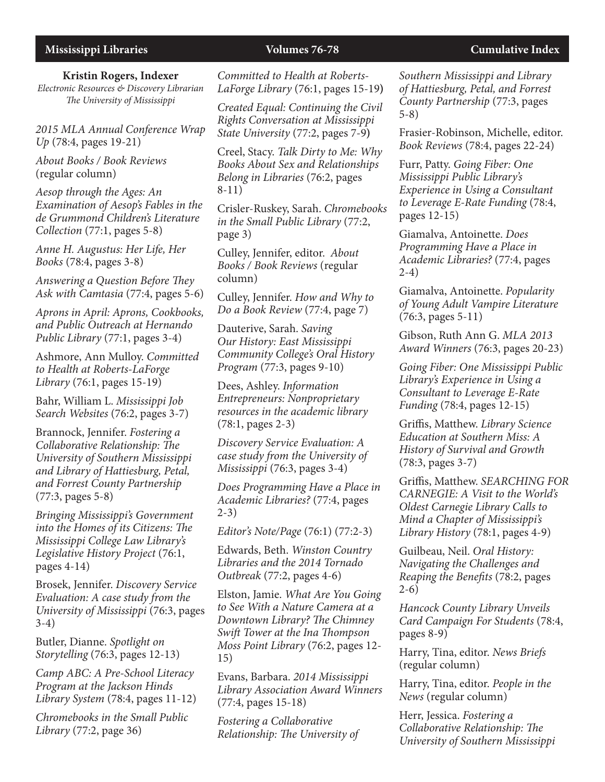#### **Kristin Rogers, Indexer**

*Electronic Resources & Discovery Librarian The University of Mississippi*

*2015 MLA Annual Conference Wrap Up* (78:4, pages 19-21)

*About Books / Book Reviews* (regular column)

*Aesop through the Ages: An Examination of Aesop's Fables in the de Grummond Children's Literature Collection* (77:1, pages 5-8)

*Anne H. Augustus: Her Life, Her Books* (78:4, pages 3-8)

*Answering a Question Before They Ask with Camtasia* (77:4, pages 5-6)

*Aprons in April: Aprons, Cookbooks, and Public Outreach at Hernando Public Library* (77:1, pages 3-4)

Ashmore, Ann Mulloy. *Committed to Health at Roberts-LaForge Library* (76:1, pages 15-19)

Bahr, William L. *Mississippi Job Search Websites* (76:2, pages 3-7)

Brannock, Jennifer. *Fostering a Collaborative Relationship: The University of Southern Mississippi and Library of Hattiesburg, Petal, and Forrest County Partnership* (77:3, pages 5-8)

*Bringing Mississippi's Government into the Homes of its Citizens: The Mississippi College Law Library's Legislative History Project* (76:1, pages 4-14)

Brosek, Jennifer. *Discovery Service Evaluation: A case study from the University of Mississippi* (76:3, pages 3-4)

Butler, Dianne. *Spotlight on Storytelling* (76:3, pages 12-13)

*Camp ABC: A Pre-School Literacy Program at the Jackson Hinds Library System* (78:4, pages 11-12)

*Chromebooks in the Small Public Library* (77:2, page 36)

*Committed to Health at Roberts-LaForge Library* (76:1, pages 15-19**)**

*Created Equal: Continuing the Civil Rights Conversation at Mississippi State University* (77:2, pages 7-9**)**

Creel, Stacy. *Talk Dirty to Me: Why Books About Sex and Relationships Belong in Libraries* (76:2, pages 8-11)

Crisler-Ruskey, Sarah. *Chromebooks in the Small Public Library* (77:2, page 3)

Culley, Jennifer, editor. *About Books / Book Reviews* (regular column)

Culley, Jennifer. *How and Why to Do a Book Review* (77:4, page 7)

Dauterive, Sarah. *Saving Our History: East Mississippi Community College's Oral History Program* (77:3, pages 9-10)

Dees, Ashley. *Information Entrepreneurs: Nonproprietary resources in the academic library* (78:1, pages 2-3)

*Discovery Service Evaluation: A case study from the University of Mississippi* (76:3, pages 3-4)

*Does Programming Have a Place in Academic Libraries?* (77:4, pages 2-3)

*Editor's Note/Page* (76:1) (77:2-3)

Edwards, Beth. *Winston Country Libraries and the 2014 Tornado Outbreak* (77:2, pages 4-6)

Elston, Jamie. *What Are You Going to See With a Nature Camera at a Downtown Library? The Chimney Swift Tower at the Ina Thompson Moss Point Library* (76:2, pages 12- 15)

Evans, Barbara. *2014 Mississippi Library Association Award Winners*  (77:4, pages 15-18)

*Fostering a Collaborative Relationship: The University of*  *Southern Mississippi and Library of Hattiesburg, Petal, and Forrest County Partnership* (77:3, pages 5-8)

Frasier-Robinson, Michelle, editor. *Book Reviews* (78:4, pages 22-24)

Furr, Patty. *Going Fiber: One Mississippi Public Library's Experience in Using a Consultant to Leverage E-Rate Funding* (78:4, pages 12-15)

Giamalva, Antoinette. *Does Programming Have a Place in Academic Libraries?* (77:4, pages 2-4)

Giamalva, Antoinette. *Popularity of Young Adult Vampire Literature* (76:3, pages 5-11)

Gibson, Ruth Ann G. *MLA 2013 Award Winners* (76:3, pages 20-23)

*Going Fiber: One Mississippi Public Library's Experience in Using a Consultant to Leverage E-Rate Funding* (78:4, pages 12-15)

Griffis, Matthew. *Library Science Education at Southern Miss: A History of Survival and Growth* (78:3, pages 3-7)

Griffis, Matthew. *SEARCHING FOR CARNEGIE: A Visit to the World's Oldest Carnegie Library Calls to Mind a Chapter of Mississippi's Library History* (78:1, pages 4-9)

Guilbeau, Neil. *Oral History: Navigating the Challenges and Reaping the Benefits* (78:2, pages 2-6)

*Hancock County Library Unveils Card Campaign For Students* (78:4, pages 8-9)

Harry, Tina, editor. *News Briefs*  (regular column)

Harry, Tina, editor. *People in the News* (regular column)

Herr, Jessica. *Fostering a Collaborative Relationship: The University of Southern Mississippi*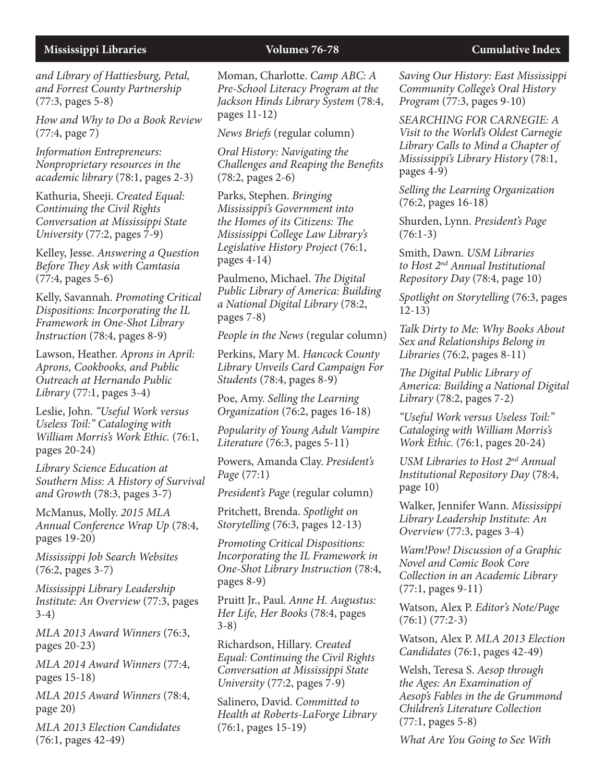*and Library of Hattiesburg, Petal, and Forrest County Partnership* (77:3, pages 5-8)

*How and Why to Do a Book Review*  (77:4, page 7)

*Information Entrepreneurs: Nonproprietary resources in the academic library* (78:1, pages 2-3)

Kathuria, Sheeji. *Created Equal: Continuing the Civil Rights Conversation at Mississippi State University* (77:2, pages 7-9)

Kelley, Jesse. *Answering a Question Before They Ask with Camtasia*  (77:4, pages 5-6)

Kelly, Savannah. *Promoting Critical Dispositions: Incorporating the IL Framework in One-Shot Library Instruction* (78:4, pages 8-9)

Lawson, Heather. *Aprons in April: Aprons, Cookbooks, and Public Outreach at Hernando Public Library* (77:1, pages 3-4)

Leslie, John. *"Useful Work versus Useless Toil:" Cataloging with William Morris's Work Ethic.* (76:1, pages 20-24)

*Library Science Education at Southern Miss: A History of Survival and Growth* (78:3, pages 3-7)

McManus, Molly. *2015 MLA Annual Conference Wrap Up* (78:4, pages 19-20)

*Mississippi Job Search Websites* (76:2, pages 3-7)

*Mississippi Library Leadership Institute: An Overview* (77:3, pages 3-4)

*MLA 2013 Award Winners* (76:3, pages 20-23)

*MLA 2014 Award Winners* (77:4, pages 15-18)

*MLA 2015 Award Winners* (78:4, page 20)

*MLA 2013 Election Candidates*  (76:1, pages 42-49)

Moman, Charlotte. *Camp ABC: A Pre-School Literacy Program at the Jackson Hinds Library System* (78:4, pages 11-12)

*News Briefs* (regular column)

*Oral History: Navigating the Challenges and Reaping the Benefits* (78:2, pages 2-6)

Parks, Stephen. *Bringing Mississippi's Government into the Homes of its Citizens: The Mississippi College Law Library's Legislative History Project* (76:1, pages 4-14)

Paulmeno, Michael. *The Digital Public Library of America: Building a National Digital Library* (78:2, pages 7-8)

*People in the News* (regular column)

Perkins, Mary M. *Hancock County Library Unveils Card Campaign For Students* (78:4, pages 8-9)

Poe, Amy. *Selling the Learning Organization* (76:2, pages 16-18)

*Popularity of Young Adult Vampire Literature* (76:3, pages 5-11)

Powers, Amanda Clay. *President's Page* (77:1)

*President's Page* (regular column)

Pritchett, Brenda. *Spotlight on Storytelling* (76:3, pages 12-13)

*Promoting Critical Dispositions: Incorporating the IL Framework in One-Shot Library Instruction* (78:4, pages 8-9)

Pruitt Jr., Paul. *Anne H. Augustus: Her Life, Her Books* (78:4, pages 3-8)

Richardson, Hillary. *Created Equal: Continuing the Civil Rights Conversation at Mississippi State University* (77:2, pages 7-9)

Salinero, David. *Committed to Health at Roberts-LaForge Library* (76:1, pages 15-19)

*Saving Our History: East Mississippi Community College's Oral History Program* (77:3, pages 9-10)

*SEARCHING FOR CARNEGIE: A Visit to the World's Oldest Carnegie Library Calls to Mind a Chapter of Mississippi's Library History* (78:1, pages 4-9)

*Selling the Learning Organization* (76:2, pages 16-18)

Shurden, Lynn. *President's Page*  $(76:1-3)$ 

Smith, Dawn. *USM Libraries to Host 2nd Annual Institutional Repository Day* (78:4, page 10)

*Spotlight on Storytelling* (76:3, pages 12-13)

*Talk Dirty to Me: Why Books About Sex and Relationships Belong in Libraries* (76:2, pages 8-11)

*The Digital Public Library of America: Building a National Digital Library* (78:2, pages 7-2)

*"Useful Work versus Useless Toil:" Cataloging with William Morris's Work Ethic.* (76:1, pages 20-24)

*USM Libraries to Host 2nd Annual Institutional Repository Day* (78:4, page 10)

Walker, Jennifer Wann. *Mississippi Library Leadership Institute: An Overview* (77:3, pages 3-4)

*Wam!Pow! Discussion of a Graphic Novel and Comic Book Core Collection in an Academic Library* (77:1, pages 9-11)

Watson, Alex P. *Editor's Note/Page* (76:1) (77:2-3)

Watson, Alex P. *MLA 2013 Election Candidates* (76:1, pages 42-49)

Welsh, Teresa S. *Aesop through the Ages: An Examination of Aesop's Fables in the de Grummond Children's Literature Collection* (77:1, pages 5-8)

*What Are You Going to See With*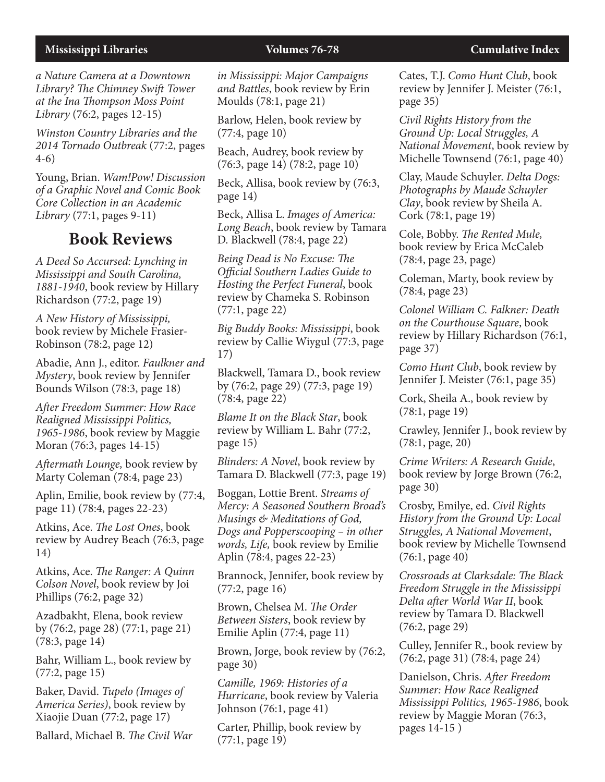*a Nature Camera at a Downtown Library? The Chimney Swift Tower at the Ina Thompson Moss Point Library* (76:2, pages 12-15)

*Winston Country Libraries and the 2014 Tornado Outbreak* (77:2, pages 4-6)

Young, Brian. *Wam!Pow! Discussion of a Graphic Novel and Comic Book Core Collection in an Academic Library* (77:1, pages 9-11)

## **Book Reviews**

*A Deed So Accursed: Lynching in Mississippi and South Carolina, 1881-1940*, book review by Hillary Richardson (77:2, page 19)

*A New History of Mississippi,* book review by Michele Frasier-Robinson (78:2, page 12)

Abadie, Ann J., editor. *Faulkner and Mystery*, book review by Jennifer Bounds Wilson (78:3, page 18)

*After Freedom Summer: How Race Realigned Mississippi Politics, 1965-1986*, book review by Maggie Moran (76:3, pages 14-15)

*Aftermath Lounge,* book review by Marty Coleman (78:4, page 23)

Aplin, Emilie, book review by (77:4, page 11) (78:4, pages 22-23)

Atkins, Ace. *The Lost Ones*, book review by Audrey Beach (76:3, page 14)

Atkins, Ace. *The Ranger: A Quinn Colson Novel*, book review by Joi Phillips (76:2, page 32)

Azadbakht, Elena, book review by (76:2, page 28) (77:1, page 21) (78:3, page 14)

Bahr, William L., book review by (77:2, page 15)

Baker, David. *Tupelo (Images of America Series)*, book review by Xiaojie Duan (77:2, page 17)

Ballard, Michael B. *The Civil War* 

*in Mississippi: Major Campaigns and Battles*, book review by Erin Moulds (78:1, page 21)

Barlow, Helen, book review by (77:4, page 10)

Beach, Audrey, book review by (76:3, page 14) (78:2, page 10)

Beck, Allisa, book review by (76:3, page 14)

Beck, Allisa L. *Images of America: Long Beach*, book review by Tamara D. Blackwell (78:4, page 22)

*Being Dead is No Excuse: The Official Southern Ladies Guide to Hosting the Perfect Funeral*, book review by Chameka S. Robinson (77:1, page 22)

*Big Buddy Books: Mississippi*, book review by Callie Wiygul (77:3, page 17)

Blackwell, Tamara D., book review by (76:2, page 29) (77:3, page 19) (78:4, page 22)

*Blame It on the Black Star*, book review by William L. Bahr (77:2, page 15)

*Blinders: A Novel*, book review by Tamara D. Blackwell (77:3, page 19)

Boggan, Lottie Brent. *Streams of Mercy: A Seasoned Southern Broad's Musings & Meditations of God, Dogs and Popperscooping – in other words, Life,* book review by Emilie Aplin (78:4, pages 22-23)

Brannock, Jennifer, book review by (77:2, page 16)

Brown, Chelsea M. *The Order Between Sisters*, book review by Emilie Aplin (77:4, page 11)

Brown, Jorge, book review by (76:2, page 30)

*Camille, 1969: Histories of a Hurricane*, book review by Valeria Johnson (76:1, page 41)

Carter, Phillip, book review by (77:1, page 19)

Cates, T.J. *Como Hunt Club*, book review by Jennifer J. Meister (76:1, page 35)

*Civil Rights History from the Ground Up: Local Struggles, A National Movement*, book review by Michelle Townsend (76:1, page 40)

Clay, Maude Schuyler. *Delta Dogs: Photographs by Maude Schuyler Clay*, book review by Sheila A. Cork (78:1, page 19)

Cole, Bobby. *The Rented Mule,*  book review by Erica McCaleb (78:4, page 23, page)

Coleman, Marty, book review by (78:4, page 23)

*Colonel William C. Falkner: Death on the Courthouse Square*, book review by Hillary Richardson (76:1, page 37)

*Como Hunt Club*, book review by Jennifer J. Meister (76:1, page 35)

Cork, Sheila A., book review by (78:1, page 19)

Crawley, Jennifer J., book review by (78:1, page, 20)

*Crime Writers: A Research Guide*, book review by Jorge Brown (76:2, page 30)

Crosby, Emilye, ed. *Civil Rights History from the Ground Up: Local Struggles, A National Movement*, book review by Michelle Townsend (76:1, page 40)

*Crossroads at Clarksdale: The Black Freedom Struggle in the Mississippi Delta after World War II*, book review by Tamara D. Blackwell (76:2, page 29)

Culley, Jennifer R., book review by (76:2, page 31) (78:4, page 24)

Danielson, Chris. *After Freedom Summer: How Race Realigned Mississippi Politics, 1965-1986*, book review by Maggie Moran (76:3, pages 14-15 )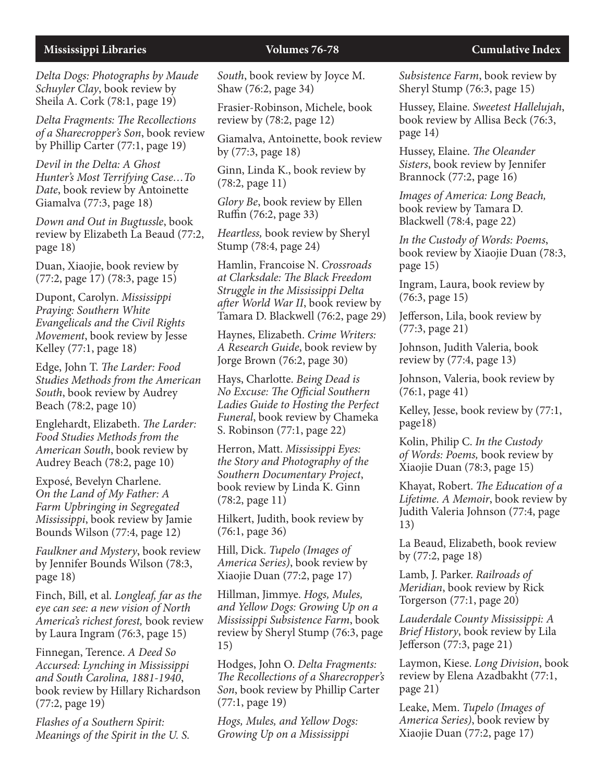*Delta Dogs: Photographs by Maude Schuyler Clay*, book review by Sheila A. Cork (78:1, page 19)

*Delta Fragments: The Recollections of a Sharecropper's Son*, book review by Phillip Carter (77:1, page 19)

*Devil in the Delta: A Ghost Hunter's Most Terrifying Case…To Date*, book review by Antoinette Giamalva (77:3, page 18)

*Down and Out in Bugtussle*, book review by Elizabeth La Beaud (77:2, page 18)

Duan, Xiaojie, book review by (77:2, page 17) (78:3, page 15)

Dupont, Carolyn. *Mississippi Praying: Southern White Evangelicals and the Civil Rights Movement*, book review by Jesse Kelley (77:1, page 18)

Edge, John T. *The Larder: Food Studies Methods from the American South*, book review by Audrey Beach (78:2, page 10)

Englehardt, Elizabeth. *The Larder: Food Studies Methods from the American South*, book review by Audrey Beach (78:2, page 10)

Exposé, Bevelyn Charlene. *On the Land of My Father: A Farm Upbringing in Segregated Mississippi*, book review by Jamie Bounds Wilson (77:4, page 12)

*Faulkner and Mystery*, book review by Jennifer Bounds Wilson (78:3, page 18)

Finch, Bill, et al. *Longleaf, far as the eye can see: a new vision of North America's richest forest,* book review by Laura Ingram (76:3, page 15)

Finnegan, Terence. *A Deed So Accursed: Lynching in Mississippi and South Carolina, 1881-1940*, book review by Hillary Richardson (77:2, page 19)

*Flashes of a Southern Spirit: Meanings of the Spirit in the U. S.*  *South*, book review by Joyce M. Shaw (76:2, page 34)

Frasier-Robinson, Michele, book review by (78:2, page 12)

Giamalva, Antoinette, book review by (77:3, page 18)

Ginn, Linda K., book review by (78:2, page 11)

*Glory Be*, book review by Ellen Ruffin (76:2, page 33)

*Heartless,* book review by Sheryl Stump (78:4, page 24)

Hamlin, Francoise N. *Crossroads at Clarksdale: The Black Freedom Struggle in the Mississippi Delta after World War II*, book review by Tamara D. Blackwell (76:2, page 29)

Haynes, Elizabeth. *Crime Writers: A Research Guide*, book review by Jorge Brown (76:2, page 30)

Hays, Charlotte. *Being Dead is No Excuse: The Official Southern Ladies Guide to Hosting the Perfect Funeral*, book review by Chameka S. Robinson (77:1, page 22)

Herron, Matt. *Mississippi Eyes: the Story and Photography of the Southern Documentary Project*, book review by Linda K. Ginn (78:2, page 11)

Hilkert, Judith, book review by (76:1, page 36)

Hill, Dick. *Tupelo (Images of America Series)*, book review by Xiaojie Duan (77:2, page 17)

Hillman, Jimmye. *Hogs, Mules, and Yellow Dogs: Growing Up on a Mississippi Subsistence Farm*, book review by Sheryl Stump (76:3, page 15)

Hodges, John O. *Delta Fragments: The Recollections of a Sharecropper's Son*, book review by Phillip Carter (77:1, page 19)

*Hogs, Mules, and Yellow Dogs: Growing Up on a Mississippi* 

*Subsistence Farm*, book review by Sheryl Stump (76:3, page 15)

Hussey, Elaine. *Sweetest Hallelujah*, book review by Allisa Beck (76:3, page 14)

Hussey, Elaine. *The Oleander Sisters*, book review by Jennifer Brannock (77:2, page 16)

*Images of America: Long Beach,*  book review by Tamara D. Blackwell (78:4, page 22)

*In the Custody of Words: Poems*, book review by Xiaojie Duan (78:3, page 15)

Ingram, Laura, book review by (76:3, page 15)

Jefferson, Lila, book review by (77:3, page 21)

Johnson, Judith Valeria, book review by (77:4, page 13)

Johnson, Valeria, book review by (76:1, page 41)

Kelley, Jesse, book review by (77:1, page18)

Kolin, Philip C. *In the Custody of Words: Poems,* book review by Xiaojie Duan (78:3, page 15)

Khayat, Robert. *The Education of a Lifetime. A Memoir*, book review by Judith Valeria Johnson (77:4, page 13)

La Beaud, Elizabeth, book review by (77:2, page 18)

Lamb, J. Parker. *Railroads of Meridian*, book review by Rick Torgerson (77:1, page 20)

*Lauderdale County Mississippi: A Brief History*, book review by Lila Jefferson (77:3, page 21)

Laymon, Kiese. *Long Division*, book review by Elena Azadbakht (77:1, page 21)

Leake, Mem. *Tupelo (Images of America Series)*, book review by Xiaojie Duan (77:2, page 17)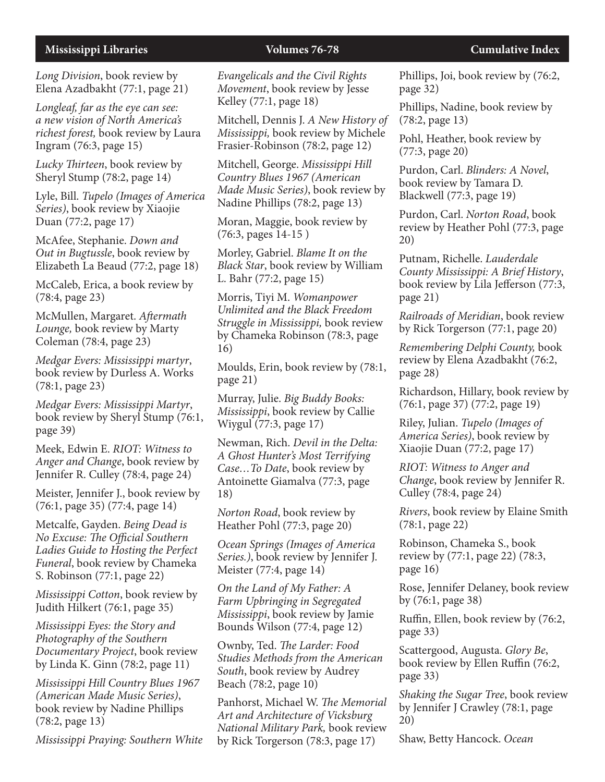*Long Division*, book review by Elena Azadbakht (77:1, page 21)

*Longleaf, far as the eye can see: a new vision of North America's richest forest,* book review by Laura Ingram (76:3, page 15)

*Lucky Thirteen*, book review by Sheryl Stump (78:2, page 14)

Lyle, Bill. *Tupelo (Images of America Series)*, book review by Xiaojie Duan (77:2, page 17)

McAfee, Stephanie. *Down and Out in Bugtussle*, book review by Elizabeth La Beaud (77:2, page 18)

McCaleb, Erica, a book review by (78:4, page 23)

McMullen, Margaret. *Aftermath Lounge,* book review by Marty Coleman (78:4, page 23)

*Medgar Evers: Mississippi martyr*, book review by Durless A. Works (78:1, page 23)

*Medgar Evers: Mississippi Martyr*, book review by Sheryl Stump (76:1, page 39)

Meek, Edwin E. *RIOT: Witness to Anger and Change*, book review by Jennifer R. Culley (78:4, page 24)

Meister, Jennifer J., book review by (76:1, page 35) (77:4, page 14)

Metcalfe, Gayden. *Being Dead is No Excuse: The Official Southern Ladies Guide to Hosting the Perfect Funeral*, book review by Chameka S. Robinson (77:1, page 22)

*Mississippi Cotton*, book review by Judith Hilkert (76:1, page 35)

*Mississippi Eyes: the Story and Photography of the Southern Documentary Project*, book review by Linda K. Ginn (78:2, page 11)

*Mississippi Hill Country Blues 1967 (American Made Music Series)*, book review by Nadine Phillips (78:2, page 13)

*Mississippi Praying: Southern White* 

*Evangelicals and the Civil Rights Movement*, book review by Jesse Kelley (77:1, page 18)

Mitchell, Dennis J. *A New History of Mississippi,* book review by Michele Frasier-Robinson (78:2, page 12)

Mitchell, George. *Mississippi Hill Country Blues 1967 (American Made Music Series)*, book review by Nadine Phillips (78:2, page 13)

Moran, Maggie, book review by (76:3, pages 14-15 )

Morley, Gabriel. *Blame It on the Black Star*, book review by William L. Bahr (77:2, page 15)

Morris, Tiyi M. *Womanpower Unlimited and the Black Freedom Struggle in Mississippi,* book review by Chameka Robinson (78:3, page 16)

Moulds, Erin, book review by (78:1, page 21)

Murray, Julie. *Big Buddy Books: Mississippi*, book review by Callie Wiygul (77:3, page 17)

Newman, Rich. *Devil in the Delta: A Ghost Hunter's Most Terrifying Case…To Date*, book review by Antoinette Giamalva (77:3, page 18)

*Norton Road*, book review by Heather Pohl (77:3, page 20)

*Ocean Springs (Images of America Series.)*, book review by Jennifer J. Meister (77:4, page 14)

*On the Land of My Father: A Farm Upbringing in Segregated Mississippi*, book review by Jamie Bounds Wilson (77:4, page 12)

Ownby, Ted. *The Larder: Food Studies Methods from the American South*, book review by Audrey Beach (78:2, page 10)

Panhorst, Michael W. *The Memorial Art and Architecture of Vicksburg National Military Park,* book review by Rick Torgerson (78:3, page 17)

Phillips, Joi, book review by (76:2, page 32)

Phillips, Nadine, book review by (78:2, page 13)

Pohl, Heather, book review by (77:3, page 20)

Purdon, Carl. *Blinders: A Novel*, book review by Tamara D. Blackwell (77:3, page 19)

Purdon, Carl. *Norton Road*, book review by Heather Pohl (77:3, page 20)

Putnam, Richelle. *Lauderdale County Mississippi: A Brief History*, book review by Lila Jefferson (77:3, page 21)

*Railroads of Meridian*, book review by Rick Torgerson (77:1, page 20)

*Remembering Delphi County,* book review by Elena Azadbakht (76:2, page 28)

Richardson, Hillary, book review by (76:1, page 37) (77:2, page 19)

Riley, Julian. *Tupelo (Images of America Series)*, book review by Xiaojie Duan (77:2, page 17)

*RIOT: Witness to Anger and Change*, book review by Jennifer R. Culley (78:4, page 24)

*Rivers*, book review by Elaine Smith (78:1, page 22)

Robinson, Chameka S., book review by (77:1, page 22) (78:3, page 16)

Rose, Jennifer Delaney, book review by (76:1, page 38)

Ruffin, Ellen, book review by (76:2, page 33)

Scattergood, Augusta. *Glory Be*, book review by Ellen Ruffin (76:2, page 33)

*Shaking the Sugar Tree*, book review by Jennifer J Crawley (78:1, page 20)

Shaw, Betty Hancock. *Ocean*